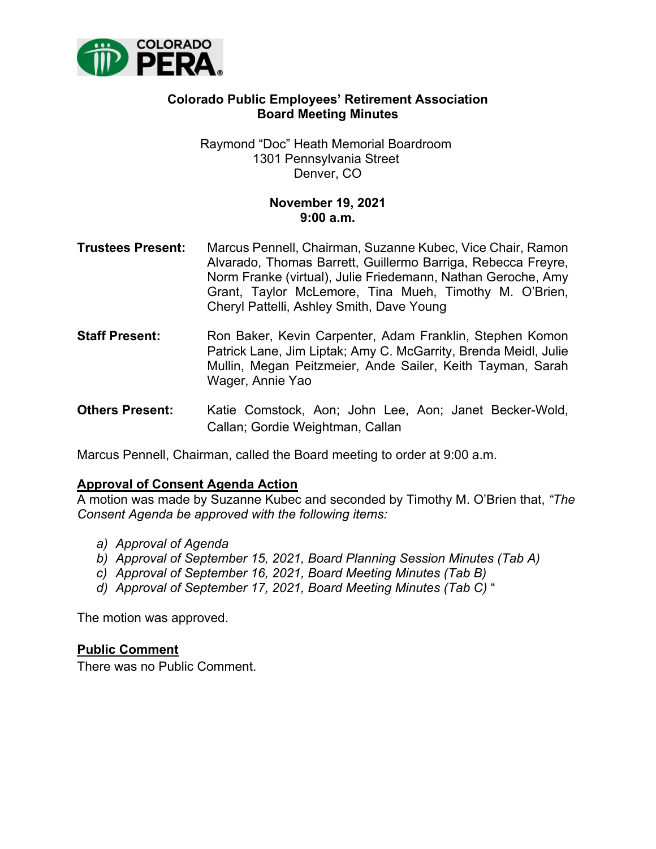

# **Colorado Public Employees' Retirement Association Board Meeting Minutes**

Raymond "Doc" Heath Memorial Boardroom 1301 Pennsylvania Street Denver, CO

# **November 19, 2021 9:00 a.m.**

- **Trustees Present:** Marcus Pennell, Chairman, Suzanne Kubec, Vice Chair, Ramon Alvarado, Thomas Barrett, Guillermo Barriga, Rebecca Freyre, Norm Franke (virtual), Julie Friedemann, Nathan Geroche, Amy Grant, Taylor McLemore, Tina Mueh, Timothy M. O'Brien, Cheryl Pattelli, Ashley Smith, Dave Young
- **Staff Present:** Ron Baker, Kevin Carpenter, Adam Franklin, Stephen Komon Patrick Lane, Jim Liptak; Amy C. McGarrity, Brenda Meidl, Julie Mullin, Megan Peitzmeier, Ande Sailer, Keith Tayman, Sarah Wager, Annie Yao
- **Others Present:** Katie Comstock, Aon; John Lee, Aon; Janet Becker-Wold, Callan; Gordie Weightman, Callan

Marcus Pennell, Chairman, called the Board meeting to order at 9:00 a.m.

## **Approval of Consent Agenda Action**

A motion was made by Suzanne Kubec and seconded by Timothy M. O'Brien that, *"The Consent Agenda be approved with the following items:*

- *a) Approval of Agenda*
- *b) Approval of September 15, 2021, Board Planning Session Minutes (Tab A)*
- *c) Approval of September 16, 2021, Board Meeting Minutes (Tab B)*
- *d) Approval of September 17, 2021, Board Meeting Minutes (Tab C)* "

The motion was approved.

#### **Public Comment**

There was no Public Comment.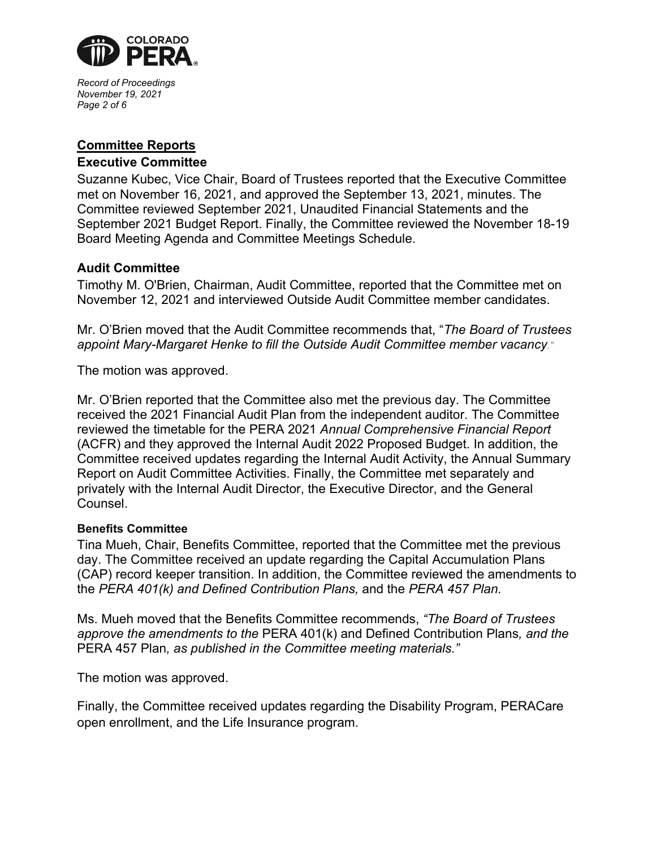

*Record of Proceedings November 19, 2021 Page 2 of 6*

# **Committee Reports**

## **Executive Committee**

Suzanne Kubec, Vice Chair, Board of Trustees reported that the Executive Committee met on November 16, 2021, and approved the September 13, 2021, minutes. The Committee reviewed September 2021, Unaudited Financial Statements and the September 2021 Budget Report. Finally, the Committee reviewed the November 18-19 Board Meeting Agenda and Committee Meetings Schedule.

# **Audit Committee**

Timothy M. O'Brien, Chairman, Audit Committee, reported that the Committee met on November 12, 2021 and interviewed Outside Audit Committee member candidates.

Mr. O'Brien moved that the Audit Committee recommends that, "*The Board of Trustees appoint Mary-Margaret Henke to fill the Outside Audit Committee member vacancy."* 

The motion was approved.

Mr. O'Brien reported that the Committee also met the previous day. The Committee received the 2021 Financial Audit Plan from the independent auditor. The Committee reviewed the timetable for the PERA 2021 *Annual Comprehensive Financial Report* (ACFR) and they approved the Internal Audit 2022 Proposed Budget. In addition, the Committee received updates regarding the Internal Audit Activity, the Annual Summary Report on Audit Committee Activities. Finally, the Committee met separately and privately with the Internal Audit Director, the Executive Director, and the General Counsel.

## **Benefits Committee**

Tina Mueh, Chair, Benefits Committee, reported that the Committee met the previous day. The Committee received an update regarding the Capital Accumulation Plans (CAP) record keeper transition. In addition, the Committee reviewed the amendments to the *PERA 401(k) and Defined Contribution Plans,* and the *PERA 457 Plan.*

Ms. Mueh moved that the Benefits Committee recommends, *"The Board of Trustees approve the amendments to the* PERA 401(k) and Defined Contribution Plans*, and the*  PERA 457 Plan*, as published in the Committee meeting materials."*

The motion was approved.

Finally, the Committee received updates regarding the Disability Program, PERACare open enrollment, and the Life Insurance program.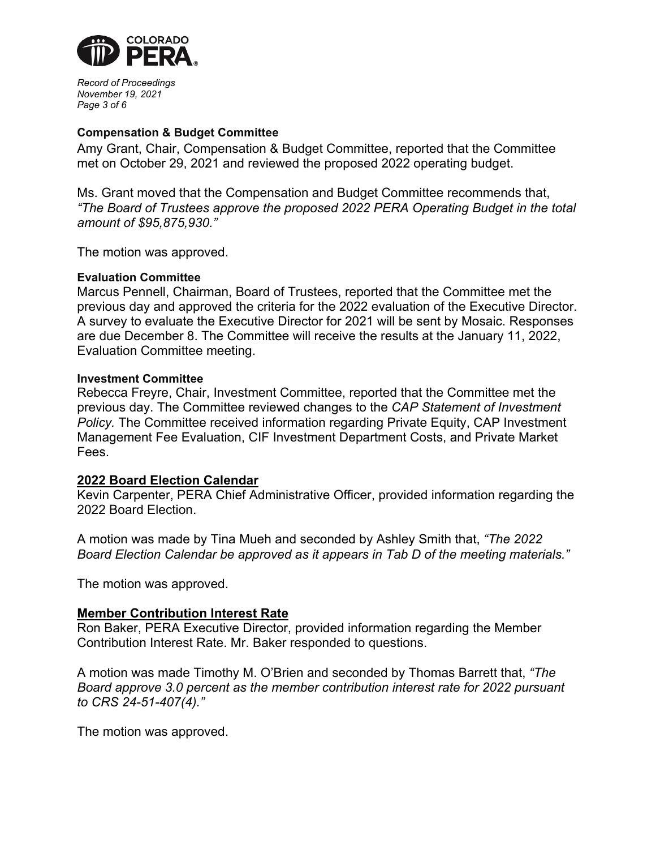

*Record of Proceedings November 19, 2021 Page 3 of 6*

#### **Compensation & Budget Committee**

Amy Grant, Chair, Compensation & Budget Committee, reported that the Committee met on October 29, 2021 and reviewed the proposed 2022 operating budget.

Ms. Grant moved that the Compensation and Budget Committee recommends that, *"The Board of Trustees approve the proposed 2022 PERA Operating Budget in the total amount of \$95,875,930."*

The motion was approved.

#### **Evaluation Committee**

Marcus Pennell, Chairman, Board of Trustees, reported that the Committee met the previous day and approved the criteria for the 2022 evaluation of the Executive Director. A survey to evaluate the Executive Director for 2021 will be sent by Mosaic. Responses are due December 8. The Committee will receive the results at the January 11, 2022, Evaluation Committee meeting.

#### **Investment Committee**

Rebecca Freyre, Chair, Investment Committee, reported that the Committee met the previous day. The Committee reviewed changes to the *CAP Statement of Investment Policy.* The Committee received information regarding Private Equity, CAP Investment Management Fee Evaluation, CIF Investment Department Costs, and Private Market Fees.

#### **2022 Board Election Calendar**

Kevin Carpenter, PERA Chief Administrative Officer, provided information regarding the 2022 Board Election.

A motion was made by Tina Mueh and seconded by Ashley Smith that, *"The 2022 Board Election Calendar be approved as it appears in Tab D of the meeting materials."*

The motion was approved.

#### **Member Contribution Interest Rate**

Ron Baker, PERA Executive Director, provided information regarding the Member Contribution Interest Rate. Mr. Baker responded to questions.

A motion was made Timothy M. O'Brien and seconded by Thomas Barrett that, *"The Board approve 3.0 percent as the member contribution interest rate for 2022 pursuant to CRS 24-51-407(4)."* 

The motion was approved.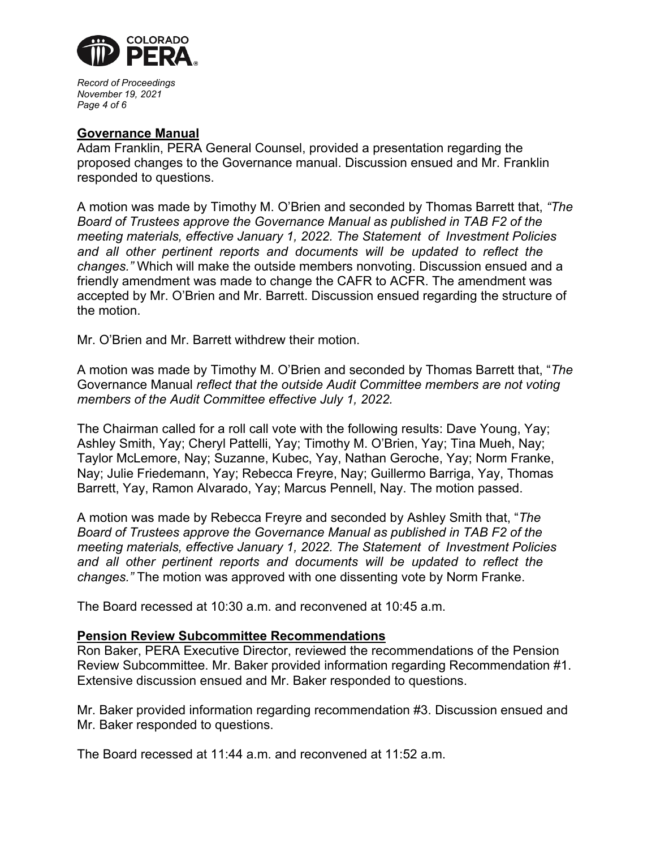

*Record of Proceedings November 19, 2021 Page 4 of 6*

## **Governance Manual**

Adam Franklin, PERA General Counsel, provided a presentation regarding the proposed changes to the Governance manual. Discussion ensued and Mr. Franklin responded to questions.

A motion was made by Timothy M. O'Brien and seconded by Thomas Barrett that, *"The Board of Trustees approve the Governance Manual as published in TAB F2 of the meeting materials, effective January 1, 2022. The Statement of Investment Policies*  and all other pertinent reports and documents will be updated to reflect the *changes."* Which will make the outside members nonvoting. Discussion ensued and a friendly amendment was made to change the CAFR to ACFR. The amendment was accepted by Mr. O'Brien and Mr. Barrett. Discussion ensued regarding the structure of the motion.

Mr. O'Brien and Mr. Barrett withdrew their motion.

A motion was made by Timothy M. O'Brien and seconded by Thomas Barrett that, "*The* Governance Manual *reflect that the outside Audit Committee members are not voting members of the Audit Committee effective July 1, 2022.* 

The Chairman called for a roll call vote with the following results: Dave Young, Yay; Ashley Smith, Yay; Cheryl Pattelli, Yay; Timothy M. O'Brien, Yay; Tina Mueh, Nay; Taylor McLemore, Nay; Suzanne, Kubec, Yay, Nathan Geroche, Yay; Norm Franke, Nay; Julie Friedemann, Yay; Rebecca Freyre, Nay; Guillermo Barriga, Yay, Thomas Barrett, Yay, Ramon Alvarado, Yay; Marcus Pennell, Nay. The motion passed.

A motion was made by Rebecca Freyre and seconded by Ashley Smith that, "*The Board of Trustees approve the Governance Manual as published in TAB F2 of the meeting materials, effective January 1, 2022. The Statement of Investment Policies*  and all other pertinent reports and documents will be updated to reflect the *changes."* The motion was approved with one dissenting vote by Norm Franke.

The Board recessed at 10:30 a.m. and reconvened at 10:45 a.m.

## **Pension Review Subcommittee Recommendations**

Ron Baker, PERA Executive Director, reviewed the recommendations of the Pension Review Subcommittee. Mr. Baker provided information regarding Recommendation #1. Extensive discussion ensued and Mr. Baker responded to questions.

Mr. Baker provided information regarding recommendation #3. Discussion ensued and Mr. Baker responded to questions.

The Board recessed at 11:44 a.m. and reconvened at 11:52 a.m.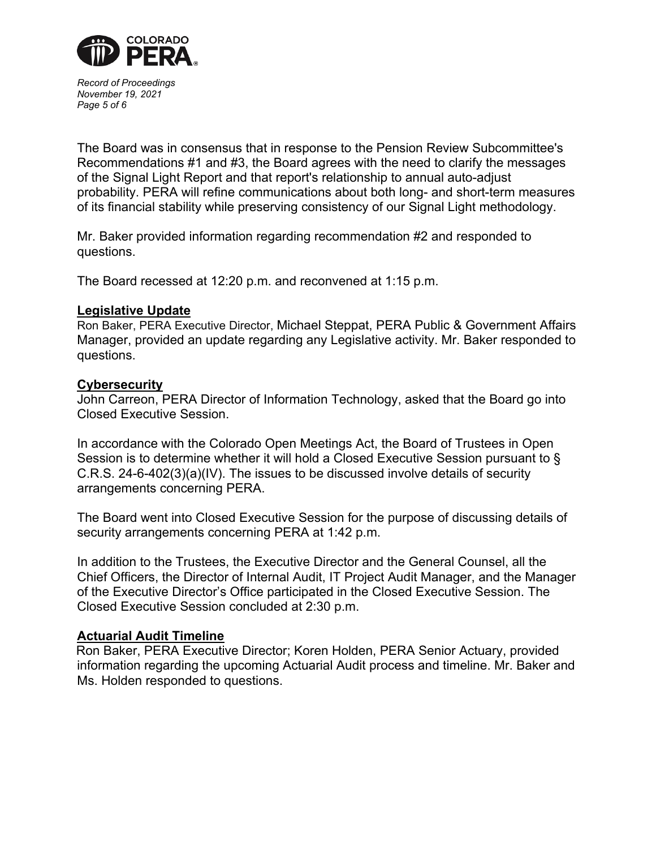

*Record of Proceedings November 19, 2021 Page 5 of 6*

The Board was in consensus that in response to the Pension Review Subcommittee's Recommendations #1 and #3, the Board agrees with the need to clarify the messages of the Signal Light Report and that report's relationship to annual auto-adjust probability. PERA will refine communications about both long- and short-term measures of its financial stability while preserving consistency of our Signal Light methodology.

Mr. Baker provided information regarding recommendation #2 and responded to questions.

The Board recessed at 12:20 p.m. and reconvened at 1:15 p.m.

### **Legislative Update**

Ron Baker, PERA Executive Director, Michael Steppat, PERA Public & Government Affairs Manager, provided an update regarding any Legislative activity. Mr. Baker responded to questions.

### **Cybersecurity**

John Carreon, PERA Director of Information Technology, asked that the Board go into Closed Executive Session.

In accordance with the Colorado Open Meetings Act, the Board of Trustees in Open Session is to determine whether it will hold a Closed Executive Session pursuant to § C.R.S. 24-6-402(3)(a)(IV). The issues to be discussed involve details of security arrangements concerning PERA.

The Board went into Closed Executive Session for the purpose of discussing details of security arrangements concerning PERA at 1:42 p.m.

In addition to the Trustees, the Executive Director and the General Counsel, all the Chief Officers, the Director of Internal Audit, IT Project Audit Manager, and the Manager of the Executive Director's Office participated in the Closed Executive Session. The Closed Executive Session concluded at 2:30 p.m.

## **Actuarial Audit Timeline**

Ron Baker, PERA Executive Director; Koren Holden, PERA Senior Actuary, provided information regarding the upcoming Actuarial Audit process and timeline. Mr. Baker and Ms. Holden responded to questions.